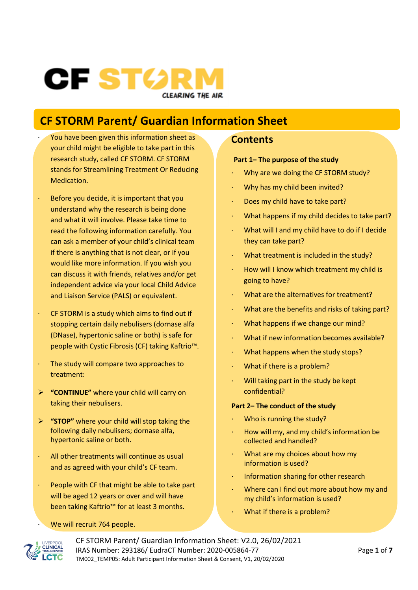# CF STØR **CLEARING THE AIR**

# **CF STORM Parent/ Guardian Information Sheet**

- You have been given this information sheet as your child might be eligible to take part in this research study, called CF STORM. CF STORM stands for Streamlining Treatment Or Reducing Medication.
- Before you decide, it is important that you understand why the research is being done and what it will involve. Please take time to read the following information carefully. You can ask a member of your child's clinical team if there is anything that is not clear, or if you would like more information. If you wish you can discuss it with friends, relatives and/or get independent advice via your local Child Advice and Liaison Service (PALS) or equivalent.
- CF STORM is a study which aims to find out if stopping certain daily nebulisers (dornase alfa (DNase), hypertonic saline or both) is safe for people with Cystic Fibrosis (CF) taking Kaftrio™.
- The study will compare two approaches to treatment:
- ➢ **"CONTINUE"** where your child will carry on taking their nebulisers.
- ➢ **"STOP"** where your child will stop taking the following daily nebulisers; dornase alfa, hypertonic saline or both.
- · All other treatments will continue as usual and as agreed with your child's CF team.
- People with CF that might be able to take part will be aged 12 years or over and will have been taking Kaftrio™ for at least 3 months.

#### We will recruit 764 people.

#### **Contents**

#### **Part 1– The purpose of the study**

- Why are we doing the CF STORM study?
- · Why has my child been invited?
- · Does my child have to take part?
- · What happens if my child decides to take part?
- What will I and my child have to do if I decide they can take part?
- What treatment is included in the study?
- · How will I know which treatment my child is going to have?
- What are the alternatives for treatment?
- What are the benefits and risks of taking part?
- · What happens if we change our mind?
- · What if new information becomes available?
- What happens when the study stops?
- What if there is a problem?
- Will taking part in the study be kept confidential?

#### **Part 2– The conduct of the study**

- Who is running the study?
- · How will my, and my child's information be collected and handled?
- · What are my choices about how my information is used?
- Information sharing for other research
- Where can I find out more about how my and my child's information is used?
- What if there is a problem?



CF STORM Parent/ Guardian Information Sheet: V2.0, 26/02/2021 IRAS Number: 293186/ EudraCT Number: 2020-005864-77 Page **1** of **7** TM002\_TEMP05: Adult Participant Information Sheet & Consent, V1, 20/02/2020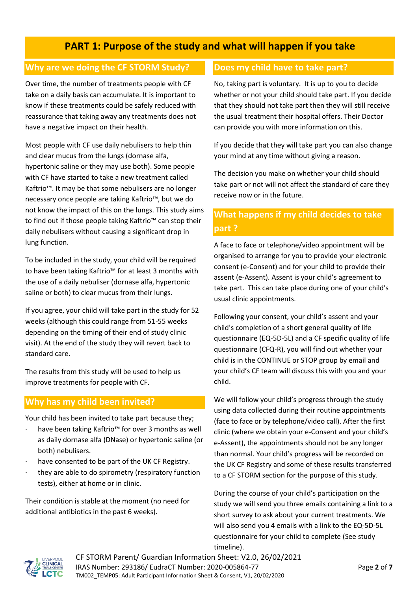### **PART 1: Purpose of the study and what will happen if you take**

### **Why are we doing the CF STORM Study?**

Over time, the number of treatments people with CF take on a daily basis can accumulate. It is important to know if these treatments could be safely reduced with reassurance that taking away any treatments does not have a negative impact on their health.

Most people with CF use daily nebulisers to help thin and clear mucus from the lungs (dornase alfa, hypertonic saline or they may use both). Some people with CF have started to take a new treatment called Kaftrio™. It may be that some nebulisers are no longer necessary once people are taking Kaftrio™, but we do not know the impact of this on the lungs. This study aims to find out if those people taking Kaftrio™ can stop their daily nebulisers without causing a significant drop in lung function.

To be included in the study, your child will be required to have been taking Kaftrio™ for at least 3 months with the use of a daily nebuliser (dornase alfa, hypertonic saline or both) to clear mucus from their lungs.

If you agree, your child will take part in the study for 52 weeks (although this could range from 51-55 weeks depending on the timing of their end of study clinic visit). At the end of the study they will revert back to standard care.

The results from this study will be used to help us improve treatments for people with CF.

### **Why has my child been invited?**

Your child has been invited to take part because they;

- have been taking Kaftrio™ for over 3 months as well as daily dornase alfa (DNase) or hypertonic saline (or both) nebulisers.
- have consented to be part of the UK CF Registry.
- they are able to do spirometry (respiratory function tests), either at home or in clinic.

Their condition is stable at the moment (no need for additional antibiotics in the past 6 weeks).

### **Does my child have to take part?**

No, taking part is voluntary. It is up to you to decide whether or not your child should take part. If you decide that they should not take part then they will still receive the usual treatment their hospital offers. Their Doctor can provide you with more information on this.

If you decide that they will take part you can also change your mind at any time without giving a reason.

The decision you make on whether your child should take part or not will not affect the standard of care they receive now or in the future.

### **What happens if my child decides to take part ?**

A face to face or telephone/video appointment will be organised to arrange for you to provide your electronic consent (e-Consent) and for your child to provide their assent (e-Assent). Assent is your child's agreement to take part. This can take place during one of your child's usual clinic appointments.

Following your consent, your child's assent and your child's completion of a short general quality of life questionnaire (EQ-5D-5L) and a CF specific quality of life questionnaire (CFQ-R), you will find out whether your child is in the CONTINUE or STOP group by email and your child's CF team will discuss this with you and your child.

We will follow your child's progress through the study using data collected during their routine appointments (face to face or by telephone/video call). After the first clinic (where we obtain your e-Consent and your child's e-Assent), the appointments should not be any longer than normal. Your child's progress will be recorded on the UK CF Registry and some of these results transferred to a CF STORM section for the purpose of this study.

During the course of your child's participation on the study we will send you three emails containing a link to a short survey to ask about your current treatments. We will also send you 4 emails with a link to the EQ-5D-5L questionnaire for your child to complete (See study timeline).



CF STORM Parent/ Guardian Information Sheet: V2.0, 26/02/2021 IRAS Number: 293186/ EudraCT Number: 2020-005864-77 Page **2** of **7** TM002\_TEMP05: Adult Participant Information Sheet & Consent, V1, 20/02/2020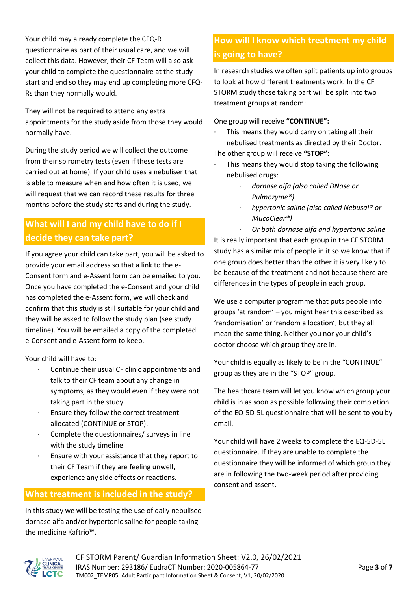Your child may already complete the CFQ-R questionnaire as part of their usual care, and we will collect this data. However, their CF Team will also ask your child to complete the questionnaire at the study start and end so they may end up completing more CFQ-Rs than they normally would.

They will not be required to attend any extra appointments for the study aside from those they would normally have.

During the study period we will collect the outcome from their spirometry tests (even if these tests are carried out at home). If your child uses a nebuliser that is able to measure when and how often it is used, we will request that we can record these results for three months before the study starts and during the study.

### **What will I and my child have to do if I decide they can take part?**

If you agree your child can take part, you will be asked to provide your email address so that a link to the e-Consent form and e-Assent form can be emailed to you. Once you have completed the e-Consent and your child has completed the e-Assent form, we will check and confirm that this study is still suitable for your child and they will be asked to follow the study plan (see study timeline). You will be emailed a copy of the completed e-Consent and e-Assent form to keep.

Your child will have to:

- Continue their usual CF clinic appointments and talk to their CF team about any change in symptoms, as they would even if they were not taking part in the study.
- · Ensure they follow the correct treatment allocated (CONTINUE or STOP).
- · Complete the questionnaires/ surveys in line with the study timeline.
- Ensure with your assistance that they report to their CF Team if they are feeling unwell, experience any side effects or reactions.

### **What treatment is included in the study?**

In this study we will be testing the use of daily nebulised dornase alfa and/or hypertonic saline for people taking the medicine Kaftrio™.

# **How will I know which treatment my child is going to have?**

In research studies we often split patients up into groups to look at how different treatments work. In the CF STORM study those taking part will be split into two treatment groups at random:

One group will receive **"CONTINUE":**

- This means they would carry on taking all their nebulised treatments as directed by their Doctor. The other group will receive **"STOP":**
	- This means they would stop taking the following nebulised drugs:
		- · *dornase alfa (also called DNase or Pulmozyme®)*
		- · *hypertonic saline (also called Nebusal® or MucoClear®)*

· *Or both dornase alfa and hypertonic saline* It is really important that each group in the CF STORM study has a similar mix of people in it so we know that if one group does better than the other it is very likely to be because of the treatment and not because there are differences in the types of people in each group.

We use a computer programme that puts people into groups 'at random' – you might hear this described as 'randomisation' or 'random allocation', but they all mean the same thing. Neither you nor your child's doctor choose which group they are in.

Your child is equally as likely to be in the "CONTINUE" group as they are in the "STOP" group.

The healthcare team will let you know which group your child is in as soon as possible following their completion of the EQ-5D-5L questionnaire that will be sent to you by email.

Your child will have 2 weeks to complete the EQ-5D-5L questionnaire. If they are unable to complete the questionnaire they will be informed of which group they are in following the two-week period after providing consent and assent.

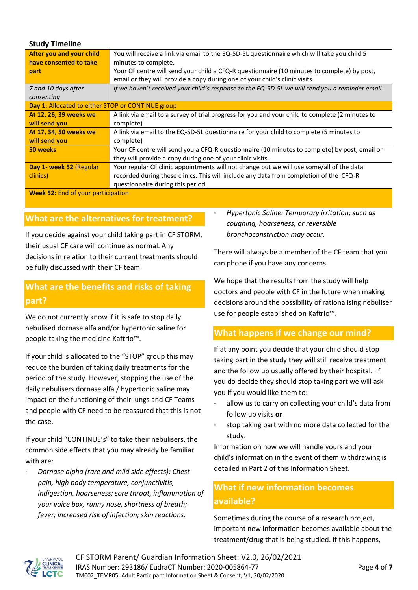#### **Study Timeline**

| After you and your child                          | You will receive a link via email to the EQ-5D-5L questionnaire which will take you child 5     |
|---------------------------------------------------|-------------------------------------------------------------------------------------------------|
| have consented to take                            | minutes to complete.                                                                            |
| part                                              | Your CF centre will send your child a CFQ-R questionnaire (10 minutes to complete) by post,     |
|                                                   | email or they will provide a copy during one of your child's clinic visits.                     |
| 7 and 10 days after                               | If we haven't received your child's response to the EQ-5D-5L we will send you a reminder email. |
| consenting                                        |                                                                                                 |
| Day 1: Allocated to either STOP or CONTINUE group |                                                                                                 |
| At 12, 26, 39 weeks we                            | A link via email to a survey of trial progress for you and your child to complete (2 minutes to |
| will send you                                     | complete)                                                                                       |
| At 17, 34, 50 weeks we                            | A link via email to the EQ-5D-5L questionnaire for your child to complete (5 minutes to         |
| will send you                                     | complete)                                                                                       |
| 50 weeks                                          | Your CF centre will send you a CFQ-R questionnaire (10 minutes to complete) by post, email or   |
|                                                   | they will provide a copy during one of your clinic visits.                                      |
| Day 1- week 52 (Regular                           | Your regular CF clinic appointments will not change but we will use some/all of the data        |
| clinics)                                          | recorded during these clinics. This will include any data from completion of the CFQ-R          |
|                                                   | questionnaire during this period.                                                               |
|                                                   |                                                                                                 |

**Week 52:** End of your participation

#### **What are the alternatives for treatment?**

If you decide against your child taking part in CF STORM, their usual CF care will continue as normal. Any decisions in relation to their current treatments should be fully discussed with their CF team.

### **What are the benefits and risks of taking part?**

We do not currently know if it is safe to stop daily nebulised dornase alfa and/or hypertonic saline for people taking the medicine Kaftrio™.

If your child is allocated to the "STOP" group this may reduce the burden of taking daily treatments for the period of the study. However, stopping the use of the daily nebulisers dornase alfa / hypertonic saline may impact on the functioning of their lungs and CF Teams and people with CF need to be reassured that this is not the case.

If your child "CONTINUE's" to take their nebulisers, the common side effects that you may already be familiar with are:

· *Dornase alpha (rare and mild side effects): Chest pain, high body temperature, conjunctivitis, indigestion, hoarseness; sore throat, inflammation of your voice box, runny nose, shortness of breath; fever; increased risk of infection; skin reactions.* 

· *Hypertonic Saline: Temporary irritation; such as coughing, hoarseness, or reversible bronchoconstriction may occur.*

There will always be a member of the CF team that you can phone if you have any concerns.

We hope that the results from the study will help doctors and people with CF in the future when making decisions around the possibility of rationalising nebuliser use for people established on Kaftrio™.

#### **What happens if we change our mind?**

If at any point you decide that your child should stop taking part in the study they will still receive treatment and the follow up usually offered by their hospital. If you do decide they should stop taking part we will ask you if you would like them to:

- allow us to carry on collecting your child's data from follow up visits **or**
- stop taking part with no more data collected for the study.

Information on how we will handle yours and your child's information in the event of them withdrawing is detailed in Part 2 of this Information Sheet.

### **What if new information becomes available?**

Sometimes during the course of a research project, important new information becomes available about the treatment/drug that is being studied. If this happens,

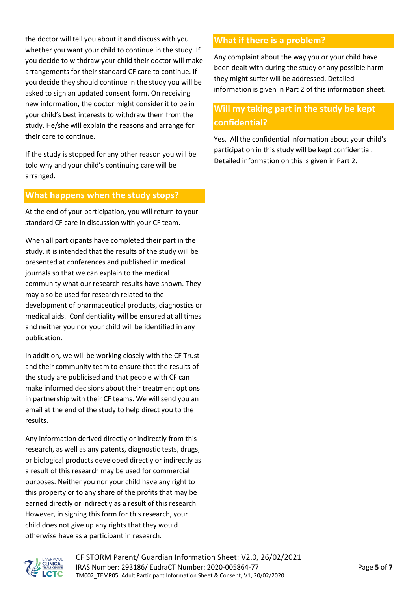the doctor will tell you about it and discuss with you whether you want your child to continue in the study. If you decide to withdraw your child their doctor will make arrangements for their standard CF care to continue. If you decide they should continue in the study you will be asked to sign an updated consent form. On receiving new information, the doctor might consider it to be in your child's best interests to withdraw them from the study. He/she will explain the reasons and arrange for their care to continue.

If the study is stopped for any other reason you will be told why and your child's continuing care will be arranged.

#### **What happens when the study stops?**

At the end of your participation, you will return to your standard CF care in discussion with your CF team.

When all participants have completed their part in the study, it is intended that the results of the study will be presented at conferences and published in medical journals so that we can explain to the medical community what our research results have shown. They may also be used for research related to the development of pharmaceutical products, diagnostics or medical aids. Confidentiality will be ensured at all times and neither you nor your child will be identified in any publication.

In addition, we will be working closely with the CF Trust and their community team to ensure that the results of the study are publicised and that people with CF can make informed decisions about their treatment options in partnership with their CF teams. We will send you an email at the end of the study to help direct you to the results.

Any information derived directly or indirectly from this research, as well as any patents, diagnostic tests, drugs, or biological products developed directly or indirectly as a result of this research may be used for commercial purposes. Neither you nor your child have any right to this property or to any share of the profits that may be earned directly or indirectly as a result of this research. However, in signing this form for this research, your child does not give up any rights that they would otherwise have as a participant in research.

### **What if there is a problem?**

Any complaint about the way you or your child have been dealt with during the study or any possible harm they might suffer will be addressed. Detailed information is given in Part 2 of this information sheet.

### **Will my taking part in the study be kept confidential?**

Yes. All the confidential information about your child's participation in this study will be kept confidential. Detailed information on this is given in Part 2.

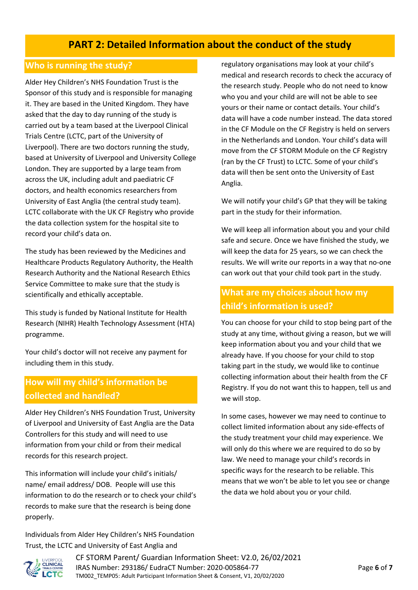## **PART 2: Detailed Information about the conduct of the study**

#### **Who is running the study?**

Alder Hey Children's NHS Foundation Trust is the Sponsor of this study and is responsible for managing it. They are based in the United Kingdom. They have asked that the day to day running of the study is carried out by a team based at the Liverpool Clinical Trials Centre (LCTC, part of the University of Liverpool). There are two doctors running the study, based at University of Liverpool and University College London. They are supported by a large team from across the UK, including adult and paediatric CF doctors, and health economics researchers from University of East Anglia (the central study team). LCTC collaborate with the UK CF Registry who provide the data collection system for the hospital site to record your child's data on.

The study has been reviewed by the Medicines and Healthcare Products Regulatory Authority, the Health Research Authority and the National Research Ethics Service Committee to make sure that the study is scientifically and ethically acceptable.

This study is funded by National Institute for Health Research (NIHR) Health Technology Assessment (HTA) programme.

Your child's doctor will not receive any payment for including them in this study.

### **How will my child's information be collected and handled?**

Alder Hey Children's NHS Foundation Trust, University of Liverpool and University of East Anglia are the Data Controllers for this study and will need to use information from your child or from their medical records for this research project.

This information will include your child's initials/ name/ email address/ DOB. People will use this information to do the research or to check your child's records to make sure that the research is being done properly.

Individuals from Alder Hey Children's NHS Foundation Trust, the LCTC and University of East Anglia and

regulatory organisations may look at your child's medical and research records to check the accuracy of the research study. People who do not need to know who you and your child are will not be able to see yours or their name or contact details. Your child's data will have a code number instead. The data stored in the CF Module on the CF Registry is held on servers in the Netherlands and London. Your child's data will move from the CF STORM Module on the CF Registry (ran by the CF Trust) to LCTC. Some of your child's data will then be sent onto the University of East Anglia.

We will notify your child's GP that they will be taking part in the study for their information.

We will keep all information about you and your child safe and secure. Once we have finished the study, we will keep the data for 25 years, so we can check the results. We will write our reports in a way that no-one can work out that your child took part in the study.

### **What are my choices about how my child's information is used?**

You can choose for your child to stop being part of the study at any time, without giving a reason, but we will keep information about you and your child that we already have. If you choose for your child to stop taking part in the study, we would like to continue collecting information about their health from the CF Registry. If you do not want this to happen, tell us and we will stop.

In some cases, however we may need to continue to collect limited information about any side-effects of the study treatment your child may experience. We will only do this where we are required to do so by law. We need to manage your child's records in specific ways for the research to be reliable. This means that we won't be able to let you see or change the data we hold about you or your child.



CF STORM Parent/ Guardian Information Sheet: V2.0, 26/02/2021 IRAS Number: 293186/ EudraCT Number: 2020-005864-77 Page **6** of **7** TM002\_TEMP05: Adult Participant Information Sheet & Consent, V1, 20/02/2020